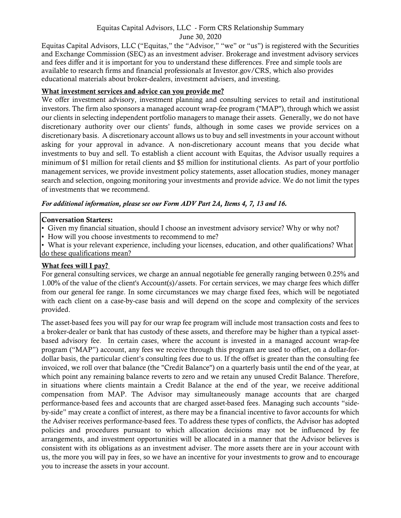# Equitas Capital Advisors, LLC - Form CRS Relationship Summary

June 30, 2020 Equitas Capital Advisors, LLC ("Equitas," the "Advisor," "we" or "us") is registered with the Securities and Exchange Commission (SEC) as an investment adviser. Brokerage and investment advisory services and fees differ and it is important for you to understand these differences. Free and simple tools are available to research firms and financial professionals at Investor.gov/CRS, which also provides educational materials about broker-dealers, investment advisers, and investing.

#### What investment services and advice can you provide me?

We offer investment advisory, investment planning and consulting services to retail and institutional investors. The firm also sponsors a managed account wrap-fee program ("MAP"), through which we assist our clients in selecting independent portfolio managers to manage their assets. Generally, we do not have discretionary authority over our clients' funds, although in some cases we provide services on a discretionary basis. A discretionary account allows us to buy and sell investments in your account without asking for your approval in advance. A non-discretionary account means that you decide what investments to buy and sell. To establish a client account with Equitas, the Advisor usually requires a minimum of \$1 million for retail clients and \$5 million for institutional clients. As part of your portfolio management services, we provide investment policy statements, asset allocation studies, money manager search and selection, ongoing monitoring your investments and provide advice. We do not limit the types of investments that we recommend.

*For additional information, please see our Form ADV Part 2A, Items 4, 7, 13 and 16.* 

## Conversation Starters:

- Given my financial situation, should I choose an investment advisory service? Why or why not?
- How will you choose investments to recommend to me?
- What is your relevant experience, including your licenses, education, and other qualifications? What do these qualifications mean?

## What fees will I pay?

For general consulting services, we charge an annual negotiable fee generally ranging between 0.25% and 1.00% of the value of the client's Account(s)/assets. For certain services, we may charge fees which differ from our general fee range. In some circumstances we may charge fixed fees, which will be negotiated with each client on a case-by-case basis and will depend on the scope and complexity of the services provided.

The asset-based fees you will pay for our wrap fee program will include most transaction costs and fees to a broker-dealer or bank that has custody of these assets, and therefore may be higher than a typical assetbased advisory fee. In certain cases, where the account is invested in a managed account wrap-fee program ("MAP") account, any fees we receive through this program are used to offset, on a dollar-fordollar basis, the particular client's consulting fees due to us. If the offset is greater than the consulting fee invoiced, we roll over that balance (the "Credit Balance") on a quarterly basis until the end of the year, at which point any remaining balance reverts to zero and we retain any unused Credit Balance. Therefore, in situations where clients maintain a Credit Balance at the end of the year, we receive additional compensation from MAP. The Advisor may simultaneously manage accounts that are charged performance-based fees and accounts that are charged asset-based fees. Managing such accounts "sideby-side" may create a conflict of interest, as there may be a financial incentive to favor accounts for which the Adviser receives performance-based fees. To address these types of conflicts, the Advisor has adopted policies and procedures pursuant to which allocation decisions may not be influenced by fee arrangements, and investment opportunities will be allocated in a manner that the Advisor believes is consistent with its obligations as an investment adviser. The more assets there are in your account with us, the more you will pay in fees, so we have an incentive for your investments to grow and to encourage you to increase the assets in your account.